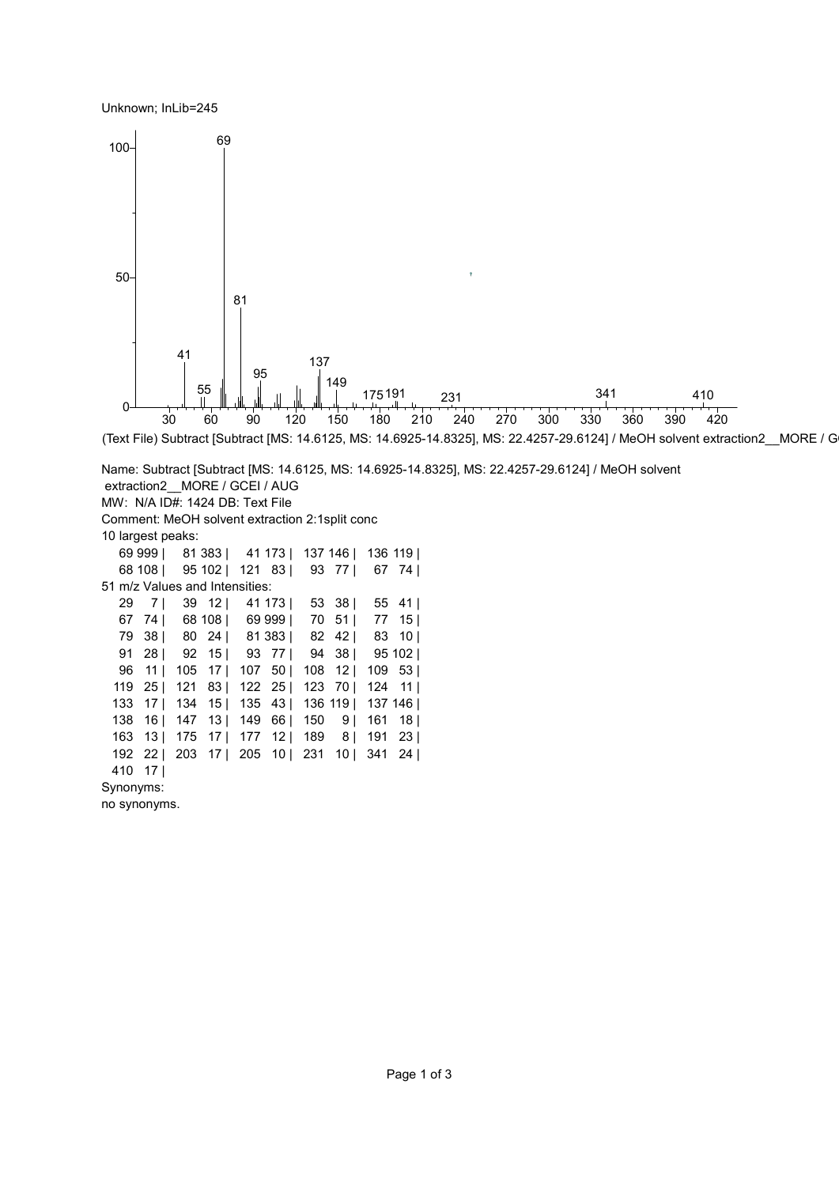Unknown; InLib=245



Synonyms:

no synonyms.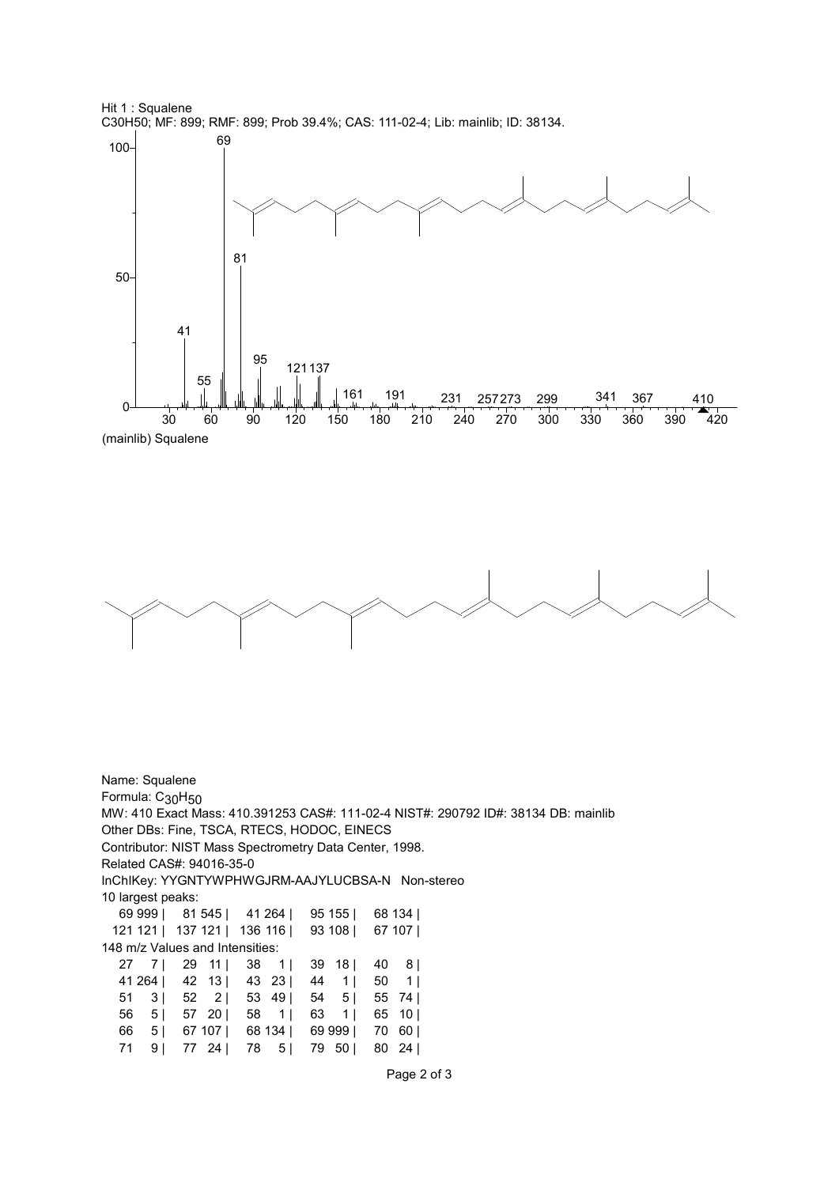

(mainlib) Squalene



Name: Squalene Formula: C<sub>30</sub>H<sub>50</sub> MW: 410 Exact Mass: 410.391253 CAS#: 111-02-4 NIST#: 290792 ID#: 38134 DB: mainlib Other DBs: Fine, TSCA, RTECS, HODOC, EINECS Contributor: NIST Mass Spectrometry Data Center, 1998. Related CAS#: 94016-35-0 InChIKey: YYGNTYWPHWGJRM-AAJYLUCBSA-N Non-stereo 10 largest peaks: 69 999 | 81 545 | 41 264 | 95 155 | 68 134 | 121 121 | 137 121 | 136 116 | 93 108 | 67 107 | 148 m/z Values and Intensities: 27 7 | 29 11 | 38 1 | 39 18 | 40 8 | 41 264 | 42 13 | 43 23 | 44 1 | 50 1 | 51 3 | 52 2 | 53 49 | 54 5 | 55 74 | 56 5 | 57 20 | 58 1 | 63 1 | 65 10 | 66 5 | 67 107 | 68 134 | 69 999 | 70 60 | 71 9 | 77 24 | 78 5 | 79 50 | 80 24 |